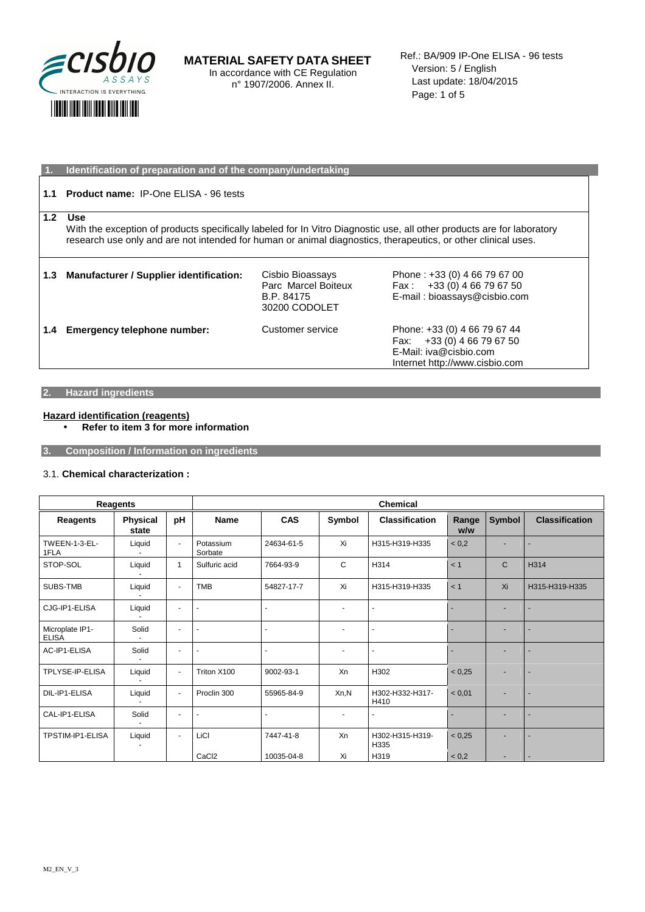

**MATERIAL SAFETY DATA SHEET**  In accordance with CE Regulation n° 1907/2006. Annex II.

Ref.: BA/909 IP-One ELISA - 96 tests Version: 5 / English Last update: 18/04/2015 Page: 1 of 5

|               | Identification of preparation and of the company/undertaking                                                           |                     |                                |  |  |  |
|---------------|------------------------------------------------------------------------------------------------------------------------|---------------------|--------------------------------|--|--|--|
|               |                                                                                                                        |                     |                                |  |  |  |
| 1.1           | <b>Product name: IP-One ELISA - 96 tests</b>                                                                           |                     |                                |  |  |  |
|               |                                                                                                                        |                     |                                |  |  |  |
| 1.2           | Use                                                                                                                    |                     |                                |  |  |  |
|               | With the exception of products specifically labeled for In Vitro Diagnostic use, all other products are for laboratory |                     |                                |  |  |  |
|               | research use only and are not intended for human or animal diagnostics, therapeutics, or other clinical uses.          |                     |                                |  |  |  |
|               |                                                                                                                        |                     |                                |  |  |  |
|               |                                                                                                                        |                     |                                |  |  |  |
| 1.3           | <b>Manufacturer / Supplier identification:</b>                                                                         | Cisbio Bioassays    | Phone: +33 (0) 4 66 79 67 00   |  |  |  |
|               |                                                                                                                        | Parc Marcel Boiteux | Fax: $+33(0)$ 4 66 79 67 50    |  |  |  |
|               |                                                                                                                        | B.P. 84175          | E-mail: bioassays@cisbio.com   |  |  |  |
|               |                                                                                                                        | 30200 CODOLET       |                                |  |  |  |
|               |                                                                                                                        |                     |                                |  |  |  |
| $1.4^{\circ}$ | Emergency telephone number:                                                                                            | Customer service    | Phone: +33 (0) 4 66 79 67 44   |  |  |  |
|               |                                                                                                                        |                     | Fax: $+33(0)$ 4 66 79 67 50    |  |  |  |
|               |                                                                                                                        |                     | E-Mail: iva@cisbio.com         |  |  |  |
|               |                                                                                                                        |                     | Internet http://www.cisbio.com |  |  |  |

### **2. Hazard ingredients**

#### **Hazard identification (reagents)**

• **Refer to item 3 for more information** 

**3. Composition / Information on ingredients** 

#### 3.1. **Chemical characterization :**

| Reagents                        |                   |                          | <b>Chemical</b>      |                |                          |                         |              |              |                       |
|---------------------------------|-------------------|--------------------------|----------------------|----------------|--------------------------|-------------------------|--------------|--------------|-----------------------|
| Reagents                        | Physical<br>state | pH                       | <b>Name</b>          | <b>CAS</b>     | Symbol                   | <b>Classification</b>   | Range<br>w/w | Symbol       | <b>Classification</b> |
| <b>TWEEN-1-3-EL-</b><br>1FLA    | Liquid            | $\blacksquare$           | Potassium<br>Sorbate | 24634-61-5     | Xi                       | H315-H319-H335          | < 0.2        |              |                       |
| STOP-SOL                        | Liquid            | 1                        | Sulfuric acid        | 7664-93-9      | C                        | H314                    | < 1          | $\mathsf{C}$ | H314                  |
| SUBS-TMB                        | Liquid            | $\blacksquare$           | <b>TMB</b>           | 54827-17-7     | Xi                       | H315-H319-H335          | < 1          | Xi           | H315-H319-H335        |
| CJG-IP1-ELISA                   | Liquid            | $\blacksquare$           | $\blacksquare$       |                | ٠                        |                         |              |              |                       |
| Microplate IP1-<br><b>ELISA</b> | Solid             | $\overline{\phantom{a}}$ | $\blacksquare$       | $\blacksquare$ | $\overline{\phantom{a}}$ |                         |              |              |                       |
| AC-IP1-ELISA                    | Solid             | $\overline{\phantom{a}}$ | $\ddot{\phantom{1}}$ | ٠              | $\overline{\phantom{a}}$ | $\blacksquare$          |              |              |                       |
| TPLYSE-IP-ELISA                 | Liquid            | $\blacksquare$           | Triton X100          | 9002-93-1      | Xn                       | H302                    | < 0.25       |              |                       |
| DIL-IP1-ELISA                   | Liquid            | $\overline{\phantom{a}}$ | Proclin 300          | 55965-84-9     | Xn,N                     | H302-H332-H317-<br>H410 | < 0.01       |              |                       |
| CAL-IP1-ELISA                   | Solid             | $\blacksquare$           |                      |                | ٠                        |                         |              |              |                       |
| TPSTIM-IP1-ELISA                | Liquid            | $\blacksquare$           | LiCl                 | 7447-41-8      | Xn                       | H302-H315-H319-<br>H335 | < 0.25       |              |                       |
|                                 |                   |                          | CaCl <sub>2</sub>    | 10035-04-8     | Xi                       | H319                    | < 0,2        |              |                       |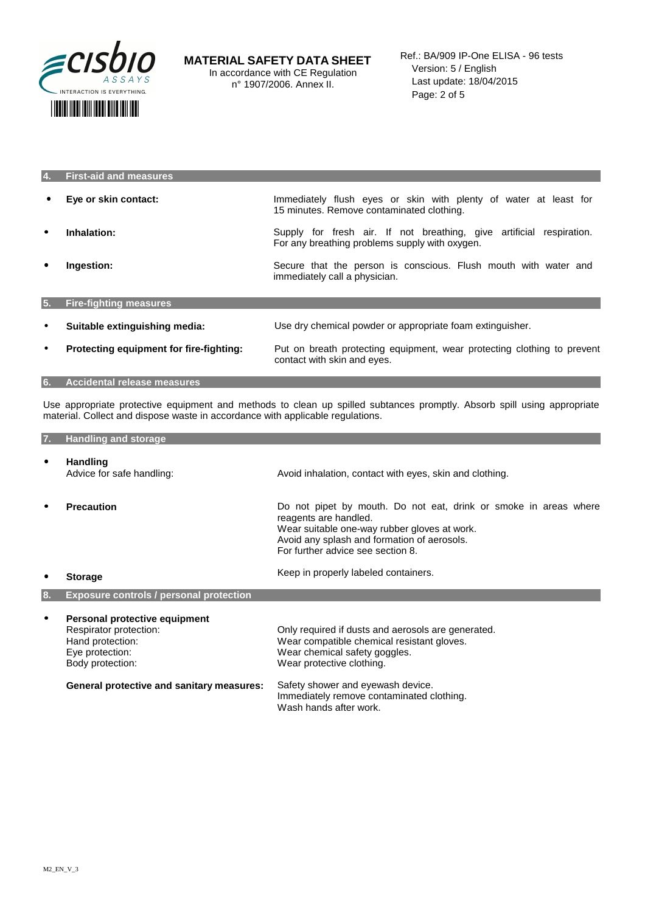

| <b>First-aid and measures</b>           |                                                                                                                        |
|-----------------------------------------|------------------------------------------------------------------------------------------------------------------------|
| Eye or skin contact:                    | Immediately flush eyes or skin with plenty of water at least for<br>15 minutes. Remove contaminated clothing.          |
| Inhalation:                             | Supply for fresh air. If not breathing, give artificial respiration.<br>For any breathing problems supply with oxygen. |
| Ingestion:                              | Secure that the person is conscious. Flush mouth with water and<br>immediately call a physician.                       |
| <b>Fire-fighting measures</b>           |                                                                                                                        |
| Suitable extinguishing media:           | Use dry chemical powder or appropriate foam extinguisher.                                                              |
| Protecting equipment for fire-fighting: | Put on breath protecting equipment, wear protecting clothing to prevent<br>contact with skin and eyes.                 |
|                                         |                                                                                                                        |

**6. Accidental release measures** 

Use appropriate protective equipment and methods to clean up spilled subtances promptly. Absorb spill using appropriate material. Collect and dispose waste in accordance with applicable regulations.

| 7.        | <b>Handling and storage</b>                                                                                        |                                                                                                                                                                                                                               |
|-----------|--------------------------------------------------------------------------------------------------------------------|-------------------------------------------------------------------------------------------------------------------------------------------------------------------------------------------------------------------------------|
| $\bullet$ | <b>Handling</b><br>Advice for safe handling:                                                                       | Avoid inhalation, contact with eyes, skin and clothing.                                                                                                                                                                       |
| $\bullet$ | <b>Precaution</b>                                                                                                  | Do not pipet by mouth. Do not eat, drink or smoke in areas where<br>reagents are handled.<br>Wear suitable one-way rubber gloves at work.<br>Avoid any splash and formation of aerosols.<br>For further advice see section 8. |
| ٠         | <b>Storage</b>                                                                                                     | Keep in properly labeled containers.                                                                                                                                                                                          |
| 8.        | <b>Exposure controls / personal protection</b>                                                                     |                                                                                                                                                                                                                               |
| $\bullet$ | Personal protective equipment<br>Respirator protection:<br>Hand protection:<br>Eye protection:<br>Body protection: | Only required if dusts and aerosols are generated.<br>Wear compatible chemical resistant gloves.<br>Wear chemical safety goggles.<br>Wear protective clothing.                                                                |
|           | <b>General protective and sanitary measures:</b>                                                                   | Safety shower and eyewash device.<br>Immediately remove contaminated clothing.<br>Wash hands after work.                                                                                                                      |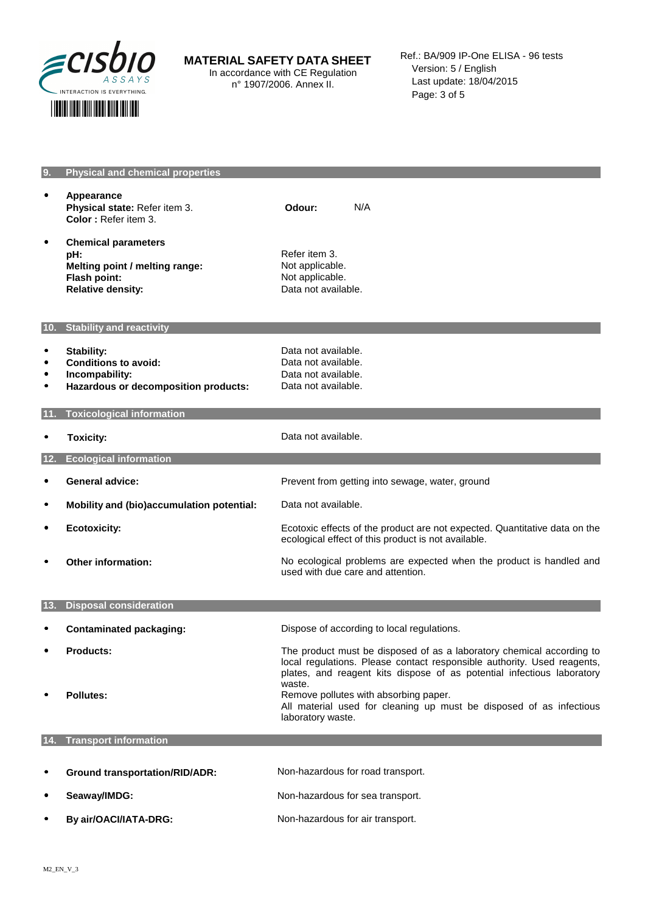

# **MATERIAL SAFETY DATA SHEET**

In accordance with CE Regulation n° 1907/2006. Annex II.

# • **Appearance Physical state:** Refer item 3.  **Color :** Refer item 3. **Odour:** N/A

• **Chemical parameters pH: Refer item 3.**<br> **Refer item 3.**<br> **Refting point / melting range:** Not applicable. **Melting point / melting range:**<br>Flash point: **Relative density: CONSIDERED EXAMPLE AT A RELATION DATA NOTE AND RELATIONS** Data not available.

**9. Physical and chemical properties** 

Not applicable.

#### **10. Stability and reactivity**

- Stability: **but a stability:** Data not available.<br>• **Conditions to avoid:** Data not available. • Conditions to avoid:<br>• Incompability: **•** Incompability: Data not available.<br>• **Hazardous or decomposition products:** Data not available.
- **Hazardous or decomposition products:**

#### **11. Toxicological information**

**Toxicity: Data not available. 12. Ecological information**  • **General advice:**  Prevent from getting into sewage, water, ground • **Mobility and (bio)accumulation potential:**  Data not available.

ecological effect of this product is not available.

used with due care and attention.

- **Ecotoxicity: Example 2018** For Ecotoxic effects of the product are not expected. Quantitative data on the
- • **Other information:** No ecological problems are expected when the product is handled and

# **13. Disposal consideration**

- **Contaminated packaging: Dispose of according to local regulations.** • **Products:** The product must be disposed of as a laboratory chemical according to local regulations. Please contact responsible authority. Used reagents, plates, and reagent kits dispose of as potential infectious laboratory waste. **Pollutes: Remove pollutes with absorbing paper. Remove pollutes with absorbing paper.** All material used for cleaning up must be disposed of as infectious laboratory waste. **14. Transport information**
- Ground transportation/RID/ADR: Non-hazardous for road transport. **Seaway/IMDG: Non-hazardous for sea transport. By air/OACI/IATA-DRG:** Non-hazardous for air transport.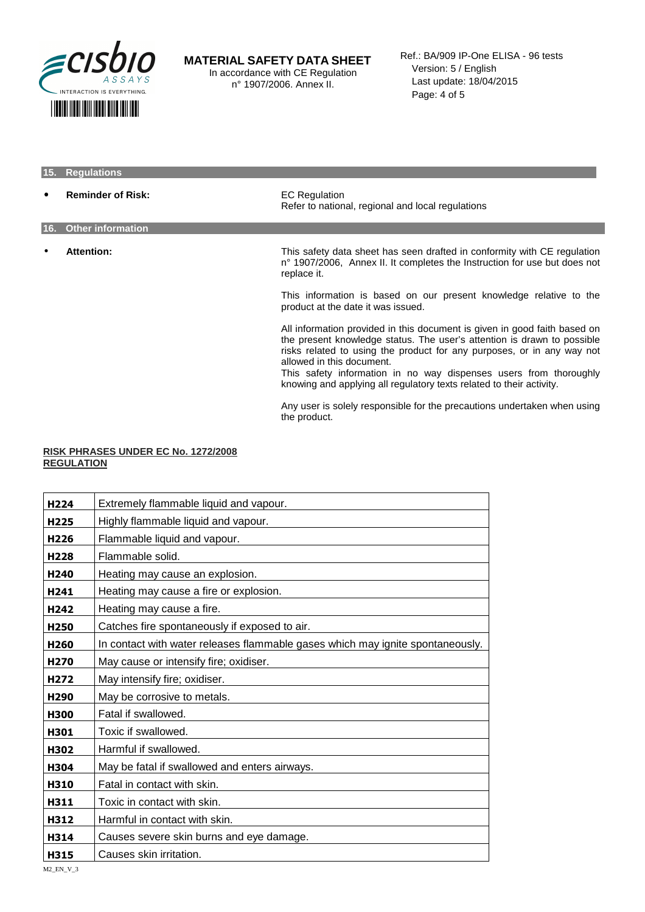

#### **MATERIAL SAFETY DATA SHEET**  In accordance with CE Regulation

n° 1907/2006. Annex II.

Ref.: BA/909 IP-One ELISA - 96 tests Version: 5 / English Last update: 18/04/2015 Page: 4 of 5

# **15. Regulations Reminder of Risk: EC Regulation** Refer to national, regional and local regulations **16. Other information**  • **Attention:** This safety data sheet has seen drafted in conformity with CE regulation n° 1907/2006, Annex II. It completes the Instruction for use but does not replace it. This information is based on our present knowledge relative to the product at the date it was issued. All information provided in this document is given in good faith based on the present knowledge status. The user's attention is drawn to possible risks related to using the product for any purposes, or in any way not allowed in this document. This safety information in no way dispenses users from thoroughly knowing and applying all regulatory texts related to their activity.

Any user is solely responsible for the precautions undertaken when using the product.

#### **RISK PHRASES UNDER EC No. 1272/2008 REGULATION**

| H <sub>224</sub> | Extremely flammable liquid and vapour.                                         |
|------------------|--------------------------------------------------------------------------------|
| H <sub>225</sub> | Highly flammable liquid and vapour.                                            |
| H <sub>226</sub> | Flammable liquid and vapour.                                                   |
| H <sub>228</sub> | Flammable solid.                                                               |
| H <sub>240</sub> | Heating may cause an explosion.                                                |
| H <sub>241</sub> | Heating may cause a fire or explosion.                                         |
| H <sub>242</sub> | Heating may cause a fire.                                                      |
| H <sub>250</sub> | Catches fire spontaneously if exposed to air.                                  |
| H <sub>260</sub> | In contact with water releases flammable gases which may ignite spontaneously. |
| H <sub>270</sub> | May cause or intensify fire; oxidiser.                                         |
| H <sub>272</sub> | May intensify fire; oxidiser.                                                  |
| H <sub>290</sub> | May be corrosive to metals.                                                    |
| <b>H300</b>      | Fatal if swallowed.                                                            |
| H301             | Toxic if swallowed.                                                            |
| H302             | Harmful if swallowed.                                                          |
| H304             | May be fatal if swallowed and enters airways.                                  |
| H310             | Fatal in contact with skin.                                                    |
| H311             | Toxic in contact with skin.                                                    |
| H312             | Harmful in contact with skin.                                                  |
| H314             | Causes severe skin burns and eye damage.                                       |
| H315             | Causes skin irritation.                                                        |